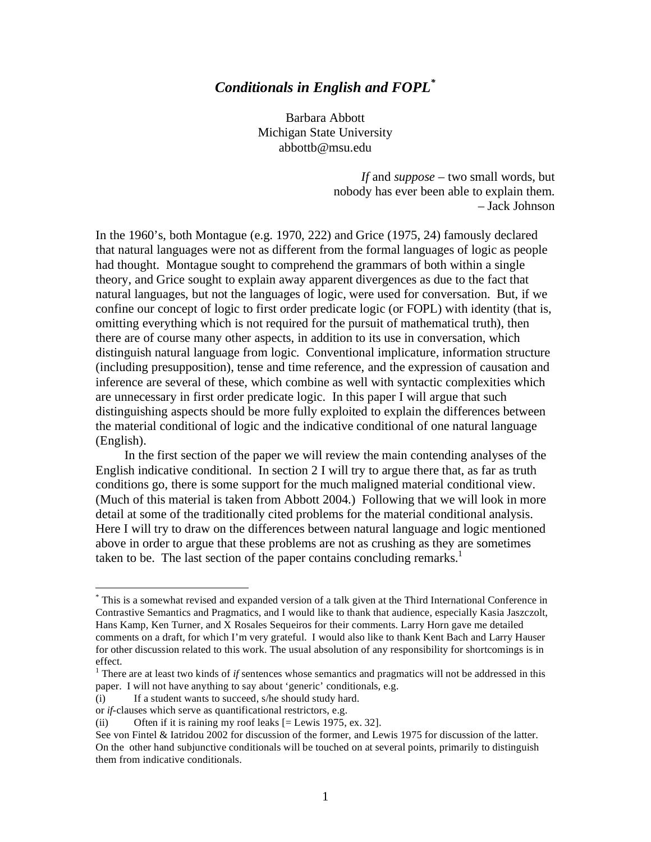# *Conditionals in English and FOPL\**

Barbara Abbott Michigan State University abbottb@msu.edu

> *If* and *suppose* – two small words, but nobody has ever been able to explain them. – Jack Johnson

In the 1960's, both Montague (e.g. 1970, 222) and Grice (1975, 24) famously declared that natural languages were not as different from the formal languages of logic as people had thought. Montague sought to comprehend the grammars of both within a single theory, and Grice sought to explain away apparent divergences as due to the fact that natural languages, but not the languages of logic, were used for conversation. But, if we confine our concept of logic to first order predicate logic (or FOPL) with identity (that is, omitting everything which is not required for the pursuit of mathematical truth), then there are of course many other aspects, in addition to its use in conversation, which distinguish natural language from logic. Conventional implicature, information structure (including presupposition), tense and time reference, and the expression of causation and inference are several of these, which combine as well with syntactic complexities which are unnecessary in first order predicate logic. In this paper I will argue that such distinguishing aspects should be more fully exploited to explain the differences between the material conditional of logic and the indicative conditional of one natural language (English).

 In the first section of the paper we will review the main contending analyses of the English indicative conditional. In section 2 I will try to argue there that, as far as truth conditions go, there is some support for the much maligned material conditional view. (Much of this material is taken from Abbott 2004.) Following that we will look in more detail at some of the traditionally cited problems for the material conditional analysis. Here I will try to draw on the differences between natural language and logic mentioned above in order to argue that these problems are not as crushing as they are sometimes taken to be. The last section of the paper contains concluding remarks.<sup>1</sup>

 $\overline{a}$ 

<sup>\*</sup> This is a somewhat revised and expanded version of a talk given at the Third International Conference in Contrastive Semantics and Pragmatics, and I would like to thank that audience, especially Kasia Jaszczolt, Hans Kamp, Ken Turner, and X Rosales Sequeiros for their comments. Larry Horn gave me detailed comments on a draft, for which I'm very grateful. I would also like to thank Kent Bach and Larry Hauser for other discussion related to this work. The usual absolution of any responsibility for shortcomings is in effect.

<sup>&</sup>lt;sup>1</sup> There are at least two kinds of *if* sentences whose semantics and pragmatics will not be addressed in this paper. I will not have anything to say about 'generic' conditionals, e.g.

<sup>(</sup>i) If a student wants to succeed, s/he should study hard.

or *if*-clauses which serve as quantificational restrictors, e.g.

<sup>(</sup>ii) Often if it is raining my roof leaks [= Lewis 1975, ex. 32].

See von Fintel & Iatridou 2002 for discussion of the former, and Lewis 1975 for discussion of the latter. On the other hand subjunctive conditionals will be touched on at several points, primarily to distinguish them from indicative conditionals.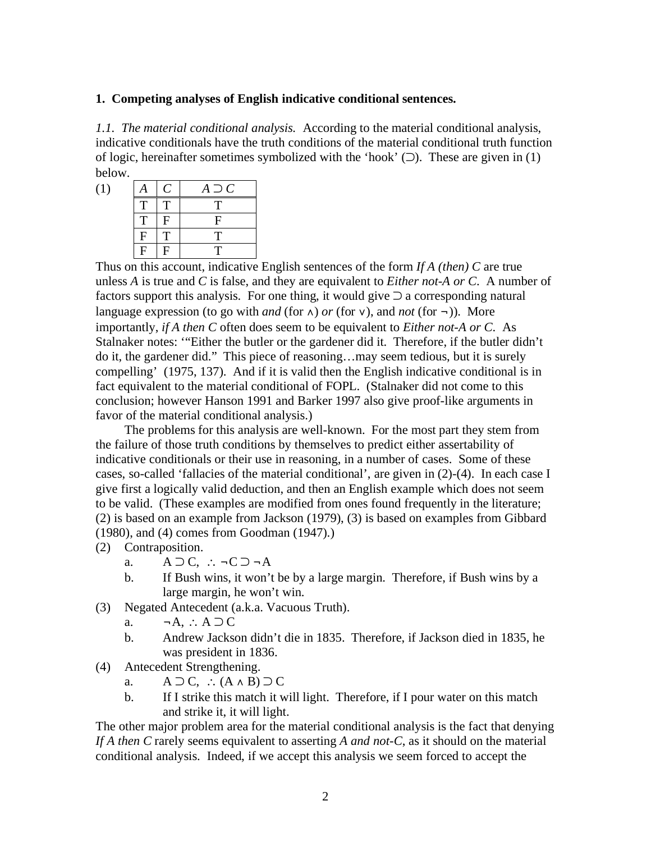#### **1. Competing analyses of English indicative conditional sentences.**

*1.1. The material conditional analysis.* According to the material conditional analysis, indicative conditionals have the truth conditions of the material conditional truth function of logic, hereinafter sometimes symbolized with the 'hook'  $\bigcirc$ ). These are given in (1) below.

| (1) |                | C           | $A \supset C$ |
|-----|----------------|-------------|---------------|
|     |                | ፐ           | т             |
|     | $\mathsf{T}$   | F           | F             |
|     | $\overline{F}$ | $\mathbf T$ |               |
|     | $\mathbf{F}$   | Ħ           |               |

Thus on this account, indicative English sentences of the form *If A (then) C* are true unless *A* is true and *C* is false, and they are equivalent to *Either not-A or C*. A number of factors support this analysis. For one thing, it would give  $\supset$  a corresponding natural language expression (to go with *and* (for  $\wedge$ ) or (for  $\nu$ ), and *not* (for  $\neg$ )). More importantly, *if A then C* often does seem to be equivalent to *Either not-A or C*. As Stalnaker notes: '"Either the butler or the gardener did it. Therefore, if the butler didn't do it, the gardener did." This piece of reasoning…may seem tedious, but it is surely compelling' (1975, 137). And if it is valid then the English indicative conditional is in fact equivalent to the material conditional of FOPL. (Stalnaker did not come to this conclusion; however Hanson 1991 and Barker 1997 also give proof-like arguments in favor of the material conditional analysis.)

 The problems for this analysis are well-known. For the most part they stem from the failure of those truth conditions by themselves to predict either assertability of indicative conditionals or their use in reasoning, in a number of cases. Some of these cases, so-called 'fallacies of the material conditional', are given in (2)-(4). In each case I give first a logically valid deduction, and then an English example which does not seem to be valid. (These examples are modified from ones found frequently in the literature; (2) is based on an example from Jackson (1979), (3) is based on examples from Gibbard (1980), and (4) comes from Goodman (1947).)

- (2) Contraposition.
	- a.  $A \supset C$ ,  $\therefore \neg C \supset \neg A$
	- b. If Bush wins, it won't be by a large margin. Therefore, if Bush wins by a large margin, he won't win.
- (3) Negated Antecedent (a.k.a. Vacuous Truth).
	- a.  $\neg A, \therefore A \supset C$
	- b. Andrew Jackson didn't die in 1835. Therefore, if Jackson died in 1835, he was president in 1836.
- (4) Antecedent Strengthening.
- a.  $A \supset C$ ,  $\therefore (A \wedge B) \supset C$ 
	- b. If I strike this match it will light. Therefore, if I pour water on this match and strike it, it will light.

The other major problem area for the material conditional analysis is the fact that denying *If A then C* rarely seems equivalent to asserting *A and not-C*, as it should on the material conditional analysis. Indeed, if we accept this analysis we seem forced to accept the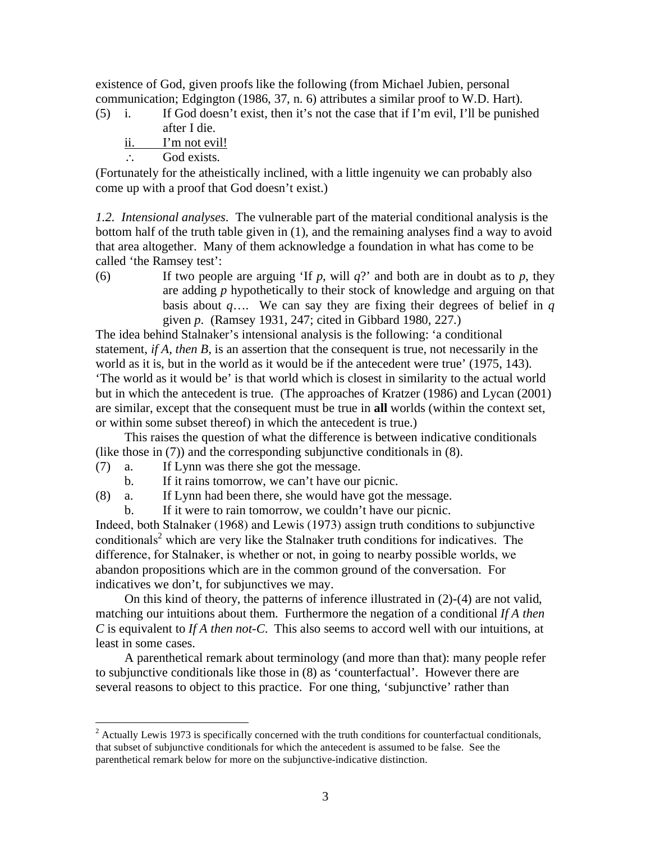existence of God, given proofs like the following (from Michael Jubien, personal communication; Edgington (1986, 37, n. 6) attributes a similar proof to W.D. Hart).

- (5) i. If God doesn't exist, then it's not the case that if I'm evil, I'll be punished after I die.
	- ii. <u>I'm not evil!</u>
	- $\therefore$  God exists.

(Fortunately for the atheistically inclined, with a little ingenuity we can probably also come up with a proof that God doesn't exist.)

*1.2. Intensional analyses*. The vulnerable part of the material conditional analysis is the bottom half of the truth table given in (1), and the remaining analyses find a way to avoid that area altogether. Many of them acknowledge a foundation in what has come to be called 'the Ramsey test':

(6) If two people are arguing 'If  $p$ , will  $q$ ?' and both are in doubt as to  $p$ , they are adding *p* hypothetically to their stock of knowledge and arguing on that basis about *q*…. We can say they are fixing their degrees of belief in *q* given *p*. (Ramsey 1931, 247; cited in Gibbard 1980, 227.)

The idea behind Stalnaker's intensional analysis is the following: 'a conditional statement, *if A, then B*, is an assertion that the consequent is true, not necessarily in the world as it is, but in the world as it would be if the antecedent were true' (1975, 143). 'The world as it would be' is that world which is closest in similarity to the actual world but in which the antecedent is true. (The approaches of Kratzer (1986) and Lycan (2001) are similar, except that the consequent must be true in **all** worlds (within the context set, or within some subset thereof) in which the antecedent is true.)

 This raises the question of what the difference is between indicative conditionals (like those in (7)) and the corresponding subjunctive conditionals in (8).

- (7) a. If Lynn was there she got the message.
	- b. If it rains tomorrow, we can't have our picnic.
- (8) a. If Lynn had been there, she would have got the message.
	- b. If it were to rain tomorrow, we couldn't have our picnic.

Indeed, both Stalnaker (1968) and Lewis (1973) assign truth conditions to subjunctive conditionals<sup>2</sup> which are very like the Stalnaker truth conditions for indicatives. The difference, for Stalnaker, is whether or not, in going to nearby possible worlds, we abandon propositions which are in the common ground of the conversation. For indicatives we don't, for subjunctives we may.

On this kind of theory, the patterns of inference illustrated in  $(2)-(4)$  are not valid, matching our intuitions about them. Furthermore the negation of a conditional *If A then C* is equivalent to *If A then not-C*. This also seems to accord well with our intuitions, at least in some cases.

 A parenthetical remark about terminology (and more than that): many people refer to subjunctive conditionals like those in (8) as 'counterfactual'. However there are several reasons to object to this practice. For one thing, 'subjunctive' rather than

<sup>&</sup>lt;sup>2</sup> Actually Lewis 1973 is specifically concerned with the truth conditions for counterfactual conditionals, that subset of subjunctive conditionals for which the antecedent is assumed to be false. See the parenthetical remark below for more on the subjunctive-indicative distinction.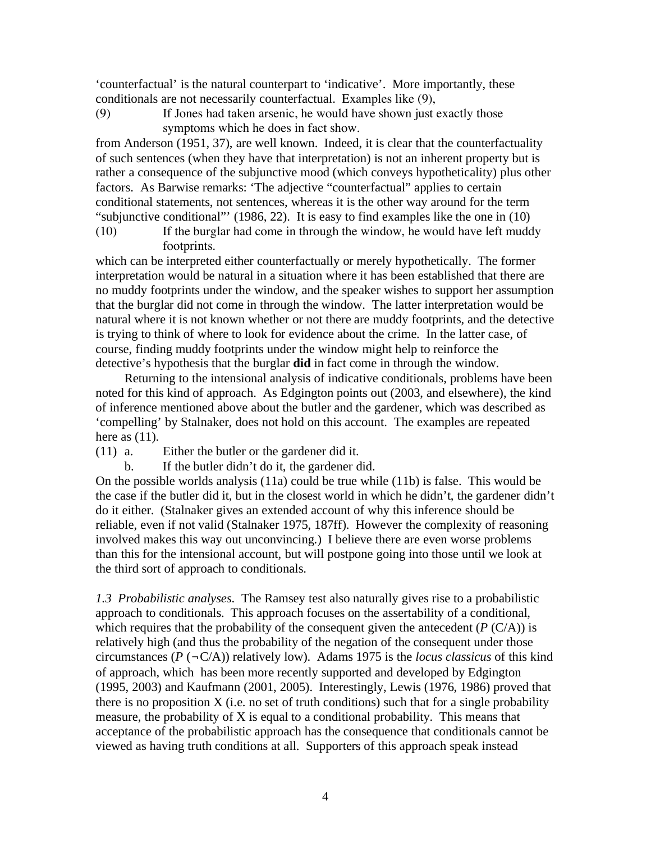'counterfactual' is the natural counterpart to 'indicative'. More importantly, these conditionals are not necessarily counterfactual. Examples like (9),

(9) If Jones had taken arsenic, he would have shown just exactly those symptoms which he does in fact show.

from Anderson (1951, 37), are well known. Indeed, it is clear that the counterfactuality of such sentences (when they have that interpretation) is not an inherent property but is rather a consequence of the subjunctive mood (which conveys hypotheticality) plus other factors. As Barwise remarks: 'The adjective "counterfactual" applies to certain conditional statements, not sentences, whereas it is the other way around for the term "subjunctive conditional"' (1986, 22). It is easy to find examples like the one in (10) (10) If the burglar had come in through the window, he would have left muddy

footprints.

which can be interpreted either counterfactually or merely hypothetically. The former interpretation would be natural in a situation where it has been established that there are no muddy footprints under the window, and the speaker wishes to support her assumption that the burglar did not come in through the window. The latter interpretation would be natural where it is not known whether or not there are muddy footprints, and the detective is trying to think of where to look for evidence about the crime. In the latter case, of course, finding muddy footprints under the window might help to reinforce the detective's hypothesis that the burglar **did** in fact come in through the window.

 Returning to the intensional analysis of indicative conditionals, problems have been noted for this kind of approach. As Edgington points out (2003, and elsewhere), the kind of inference mentioned above about the butler and the gardener, which was described as 'compelling' by Stalnaker, does not hold on this account. The examples are repeated here as  $(11)$ .

(11) a. Either the butler or the gardener did it.

b. If the butler didn't do it, the gardener did.

On the possible worlds analysis (11a) could be true while (11b) is false. This would be the case if the butler did it, but in the closest world in which he didn't, the gardener didn't do it either. (Stalnaker gives an extended account of why this inference should be reliable, even if not valid (Stalnaker 1975, 187ff). However the complexity of reasoning involved makes this way out unconvincing.) I believe there are even worse problems than this for the intensional account, but will postpone going into those until we look at the third sort of approach to conditionals.

*1.3 Probabilistic analyses*. The Ramsey test also naturally gives rise to a probabilistic approach to conditionals. This approach focuses on the assertability of a conditional, which requires that the probability of the consequent given the antecedent  $(P(C/A))$  is relatively high (and thus the probability of the negation of the consequent under those circumstances ( $P(-C/A)$ ) relatively low). Adams 1975 is the *locus classicus* of this kind of approach, which has been more recently supported and developed by Edgington (1995, 2003) and Kaufmann (2001, 2005). Interestingly, Lewis (1976, 1986) proved that there is no proposition  $X$  (i.e. no set of truth conditions) such that for a single probability measure, the probability of X is equal to a conditional probability. This means that acceptance of the probabilistic approach has the consequence that conditionals cannot be viewed as having truth conditions at all. Supporters of this approach speak instead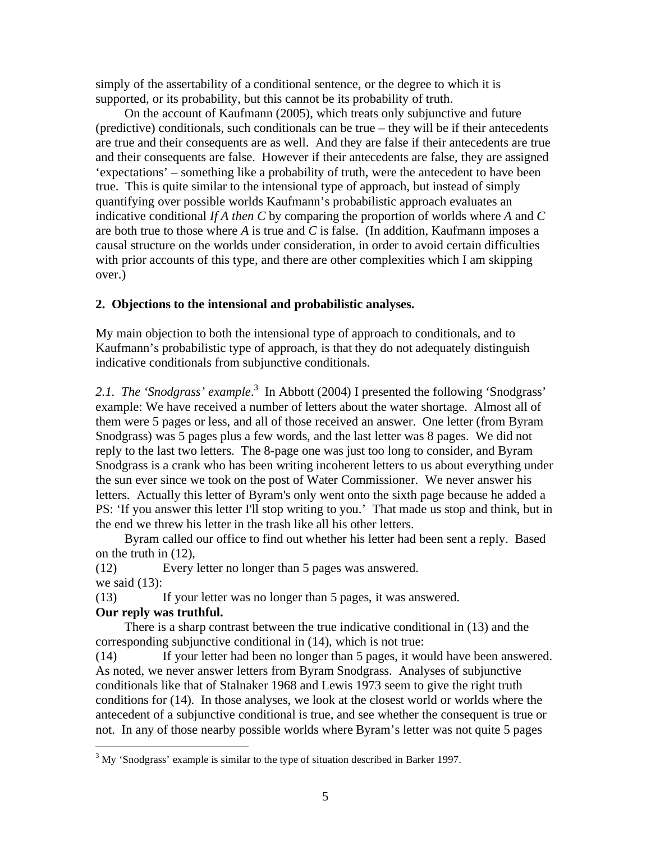simply of the assertability of a conditional sentence, or the degree to which it is supported, or its probability, but this cannot be its probability of truth.

 On the account of Kaufmann (2005), which treats only subjunctive and future (predictive) conditionals, such conditionals can be true – they will be if their antecedents are true and their consequents are as well. And they are false if their antecedents are true and their consequents are false. However if their antecedents are false, they are assigned 'expectations' – something like a probability of truth, were the antecedent to have been true. This is quite similar to the intensional type of approach, but instead of simply quantifying over possible worlds Kaufmann's probabilistic approach evaluates an indicative conditional *If A then C* by comparing the proportion of worlds where *A* and *C* are both true to those where *A* is true and *C* is false. (In addition, Kaufmann imposes a causal structure on the worlds under consideration, in order to avoid certain difficulties with prior accounts of this type, and there are other complexities which I am skipping over.)

## **2. Objections to the intensional and probabilistic analyses.**

My main objection to both the intensional type of approach to conditionals, and to Kaufmann's probabilistic type of approach, is that they do not adequately distinguish indicative conditionals from subjunctive conditionals.

2.1. The 'Snodgrass' example.<sup>3</sup> In Abbott (2004) I presented the following 'Snodgrass' example: We have received a number of letters about the water shortage. Almost all of them were 5 pages or less, and all of those received an answer. One letter (from Byram Snodgrass) was 5 pages plus a few words, and the last letter was 8 pages. We did not reply to the last two letters. The 8-page one was just too long to consider, and Byram Snodgrass is a crank who has been writing incoherent letters to us about everything under the sun ever since we took on the post of Water Commissioner. We never answer his letters. Actually this letter of Byram's only went onto the sixth page because he added a PS: 'If you answer this letter I'll stop writing to you.' That made us stop and think, but in the end we threw his letter in the trash like all his other letters.

 Byram called our office to find out whether his letter had been sent a reply. Based on the truth in (12),

(12) Every letter no longer than 5 pages was answered. we said  $(13)$ :

(13) If your letter was no longer than 5 pages, it was answered.

## **Our reply was truthful.**

 $\overline{a}$ 

 There is a sharp contrast between the true indicative conditional in (13) and the corresponding subjunctive conditional in (14), which is not true:

(14) If your letter had been no longer than 5 pages, it would have been answered. As noted, we never answer letters from Byram Snodgrass. Analyses of subjunctive conditionals like that of Stalnaker 1968 and Lewis 1973 seem to give the right truth conditions for (14). In those analyses, we look at the closest world or worlds where the antecedent of a subjunctive conditional is true, and see whether the consequent is true or not. In any of those nearby possible worlds where Byram's letter was not quite 5 pages

 $3^3$  My 'Snodgrass' example is similar to the type of situation described in Barker 1997.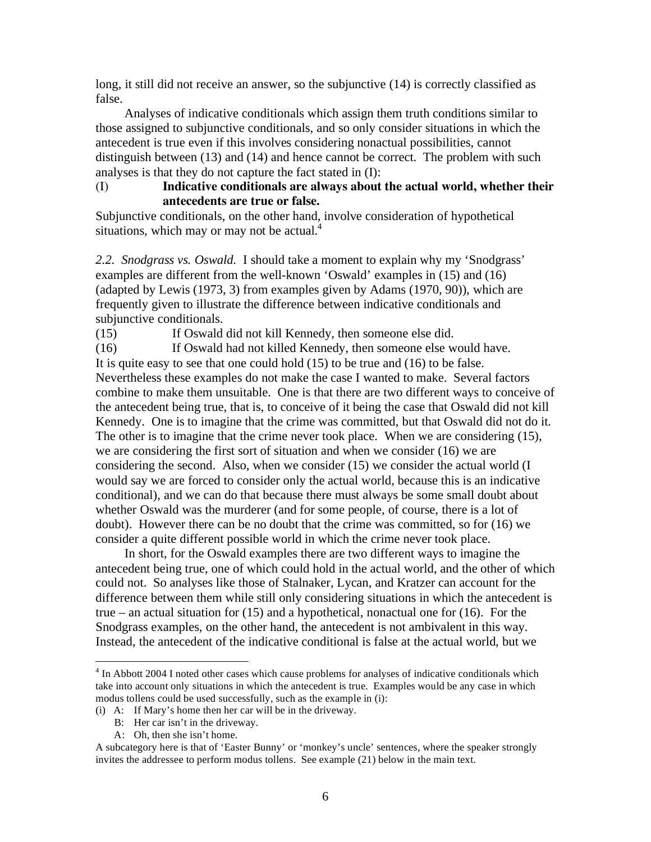long, it still did not receive an answer, so the subjunctive (14) is correctly classified as false.

 Analyses of indicative conditionals which assign them truth conditions similar to those assigned to subjunctive conditionals, and so only consider situations in which the antecedent is true even if this involves considering nonactual possibilities, cannot distinguish between (13) and (14) and hence cannot be correct. The problem with such analyses is that they do not capture the fact stated in (I):

#### (I) **Indicative conditionals are always about the actual world, whether their antecedents are true or false.**

Subjunctive conditionals, on the other hand, involve consideration of hypothetical situations, which may or may not be actual. $4$ 

*2.2. Snodgrass vs. Oswald.* I should take a moment to explain why my 'Snodgrass' examples are different from the well-known 'Oswald' examples in (15) and (16) (adapted by Lewis (1973, 3) from examples given by Adams (1970, 90)), which are frequently given to illustrate the difference between indicative conditionals and subjunctive conditionals.

(15) If Oswald did not kill Kennedy, then someone else did.

(16) If Oswald had not killed Kennedy, then someone else would have. It is quite easy to see that one could hold (15) to be true and (16) to be false. Nevertheless these examples do not make the case I wanted to make. Several factors combine to make them unsuitable. One is that there are two different ways to conceive of the antecedent being true, that is, to conceive of it being the case that Oswald did not kill Kennedy. One is to imagine that the crime was committed, but that Oswald did not do it. The other is to imagine that the crime never took place. When we are considering (15), we are considering the first sort of situation and when we consider (16) we are considering the second. Also, when we consider (15) we consider the actual world (I would say we are forced to consider only the actual world, because this is an indicative conditional), and we can do that because there must always be some small doubt about whether Oswald was the murderer (and for some people, of course, there is a lot of doubt). However there can be no doubt that the crime was committed, so for (16) we consider a quite different possible world in which the crime never took place.

 In short, for the Oswald examples there are two different ways to imagine the antecedent being true, one of which could hold in the actual world, and the other of which could not. So analyses like those of Stalnaker, Lycan, and Kratzer can account for the difference between them while still only considering situations in which the antecedent is true – an actual situation for (15) and a hypothetical, nonactual one for (16). For the Snodgrass examples, on the other hand, the antecedent is not ambivalent in this way. Instead, the antecedent of the indicative conditional is false at the actual world, but we

<u>.</u>

<sup>&</sup>lt;sup>4</sup> In Abbott 2004 I noted other cases which cause problems for analyses of indicative conditionals which take into account only situations in which the antecedent is true. Examples would be any case in which modus tollens could be used successfully, such as the example in (i):

<sup>(</sup>i) A: If Mary's home then her car will be in the driveway.

B: Her car isn't in the driveway.

A: Oh, then she isn't home.

A subcategory here is that of 'Easter Bunny' or 'monkey's uncle' sentences, where the speaker strongly invites the addressee to perform modus tollens. See example (21) below in the main text.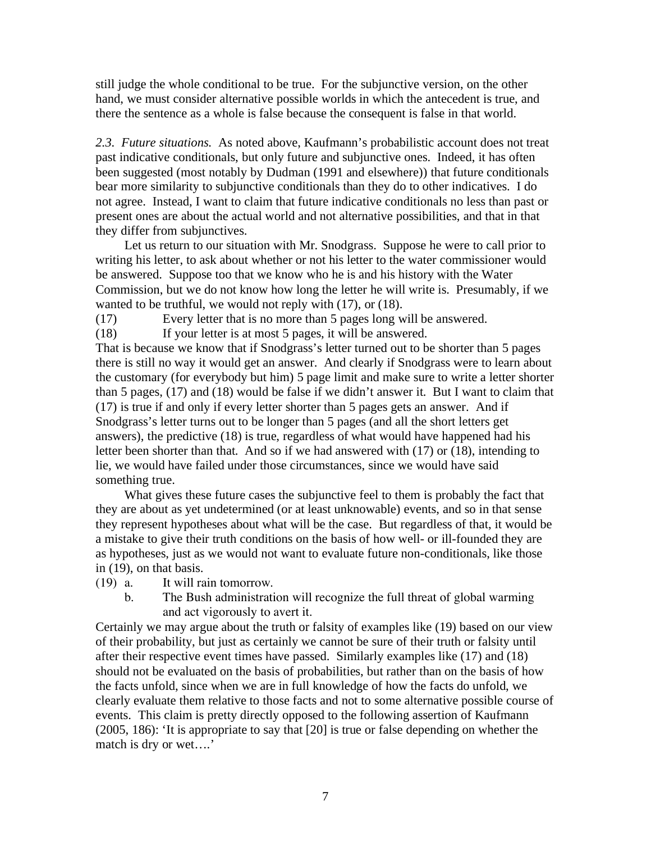still judge the whole conditional to be true. For the subjunctive version, on the other hand, we must consider alternative possible worlds in which the antecedent is true, and there the sentence as a whole is false because the consequent is false in that world.

*2.3. Future situations.* As noted above, Kaufmann's probabilistic account does not treat past indicative conditionals, but only future and subjunctive ones. Indeed, it has often been suggested (most notably by Dudman (1991 and elsewhere)) that future conditionals bear more similarity to subjunctive conditionals than they do to other indicatives. I do not agree. Instead, I want to claim that future indicative conditionals no less than past or present ones are about the actual world and not alternative possibilities, and that in that they differ from subjunctives.

 Let us return to our situation with Mr. Snodgrass. Suppose he were to call prior to writing his letter, to ask about whether or not his letter to the water commissioner would be answered. Suppose too that we know who he is and his history with the Water Commission, but we do not know how long the letter he will write is. Presumably, if we wanted to be truthful, we would not reply with (17), or (18).

(17) Every letter that is no more than 5 pages long will be answered.

(18) If your letter is at most 5 pages, it will be answered.

That is because we know that if Snodgrass's letter turned out to be shorter than 5 pages there is still no way it would get an answer. And clearly if Snodgrass were to learn about the customary (for everybody but him) 5 page limit and make sure to write a letter shorter than 5 pages, (17) and (18) would be false if we didn't answer it. But I want to claim that (17) is true if and only if every letter shorter than 5 pages gets an answer. And if Snodgrass's letter turns out to be longer than 5 pages (and all the short letters get answers), the predictive (18) is true, regardless of what would have happened had his letter been shorter than that. And so if we had answered with (17) or (18), intending to lie, we would have failed under those circumstances, since we would have said something true.

 What gives these future cases the subjunctive feel to them is probably the fact that they are about as yet undetermined (or at least unknowable) events, and so in that sense they represent hypotheses about what will be the case. But regardless of that, it would be a mistake to give their truth conditions on the basis of how well- or ill-founded they are as hypotheses, just as we would not want to evaluate future non-conditionals, like those in (19), on that basis.

(19) a. It will rain tomorrow.

 b. The Bush administration will recognize the full threat of global warming and act vigorously to avert it.

Certainly we may argue about the truth or falsity of examples like (19) based on our view of their probability, but just as certainly we cannot be sure of their truth or falsity until after their respective event times have passed. Similarly examples like (17) and (18) should not be evaluated on the basis of probabilities, but rather than on the basis of how the facts unfold, since when we are in full knowledge of how the facts do unfold, we clearly evaluate them relative to those facts and not to some alternative possible course of events. This claim is pretty directly opposed to the following assertion of Kaufmann (2005, 186): 'It is appropriate to say that [20] is true or false depending on whether the match is dry or wet….'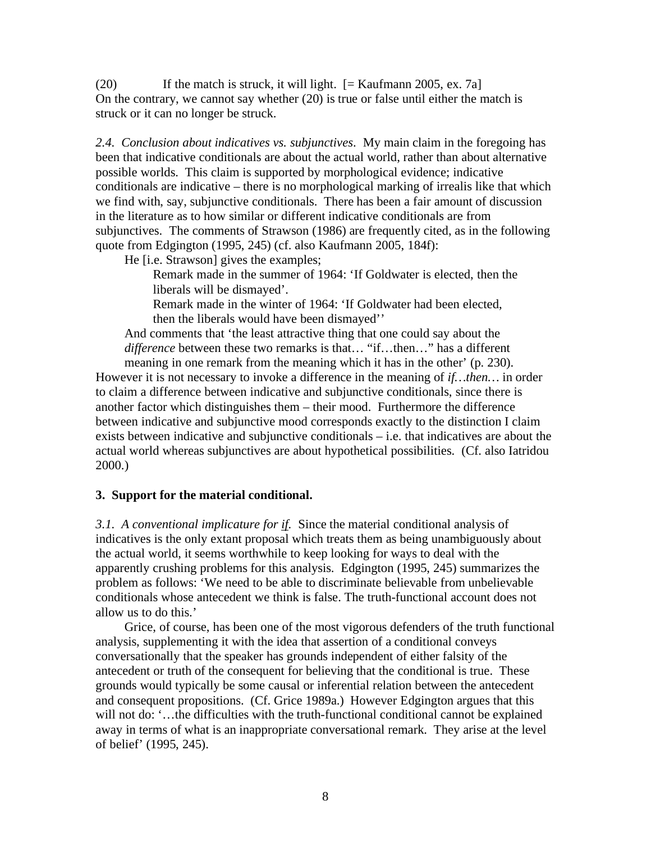(20) If the match is struck, it will light.  $[=$  Kaufmann 2005, ex. 7a] On the contrary, we cannot say whether (20) is true or false until either the match is struck or it can no longer be struck.

*2.4. Conclusion about indicatives vs. subjunctives*. My main claim in the foregoing has been that indicative conditionals are about the actual world, rather than about alternative possible worlds. This claim is supported by morphological evidence; indicative conditionals are indicative – there is no morphological marking of irrealis like that which we find with, say, subjunctive conditionals. There has been a fair amount of discussion in the literature as to how similar or different indicative conditionals are from subjunctives. The comments of Strawson (1986) are frequently cited, as in the following quote from Edgington (1995, 245) (cf. also Kaufmann 2005, 184f):

He [i.e. Strawson] gives the examples;

 Remark made in the summer of 1964: 'If Goldwater is elected, then the liberals will be dismayed'.

 Remark made in the winter of 1964: 'If Goldwater had been elected, then the liberals would have been dismayed''

And comments that 'the least attractive thing that one could say about the *difference* between these two remarks is that… "if…then…" has a different meaning in one remark from the meaning which it has in the other' (p. 230).

However it is not necessary to invoke a difference in the meaning of *if…then…* in order to claim a difference between indicative and subjunctive conditionals, since there is another factor which distinguishes them – their mood. Furthermore the difference between indicative and subjunctive mood corresponds exactly to the distinction I claim exists between indicative and subjunctive conditionals – i.e. that indicatives are about the actual world whereas subjunctives are about hypothetical possibilities. (Cf. also Iatridou 2000.)

## **3. Support for the material conditional.**

*3.1. A conventional implicature for if.* Since the material conditional analysis of indicatives is the only extant proposal which treats them as being unambiguously about the actual world, it seems worthwhile to keep looking for ways to deal with the apparently crushing problems for this analysis. Edgington (1995, 245) summarizes the problem as follows: 'We need to be able to discriminate believable from unbelievable conditionals whose antecedent we think is false. The truth-functional account does not allow us to do this.'

 Grice, of course, has been one of the most vigorous defenders of the truth functional analysis, supplementing it with the idea that assertion of a conditional conveys conversationally that the speaker has grounds independent of either falsity of the antecedent or truth of the consequent for believing that the conditional is true. These grounds would typically be some causal or inferential relation between the antecedent and consequent propositions. (Cf. Grice 1989a.) However Edgington argues that this will not do: '...the difficulties with the truth-functional conditional cannot be explained away in terms of what is an inappropriate conversational remark. They arise at the level of belief' (1995, 245).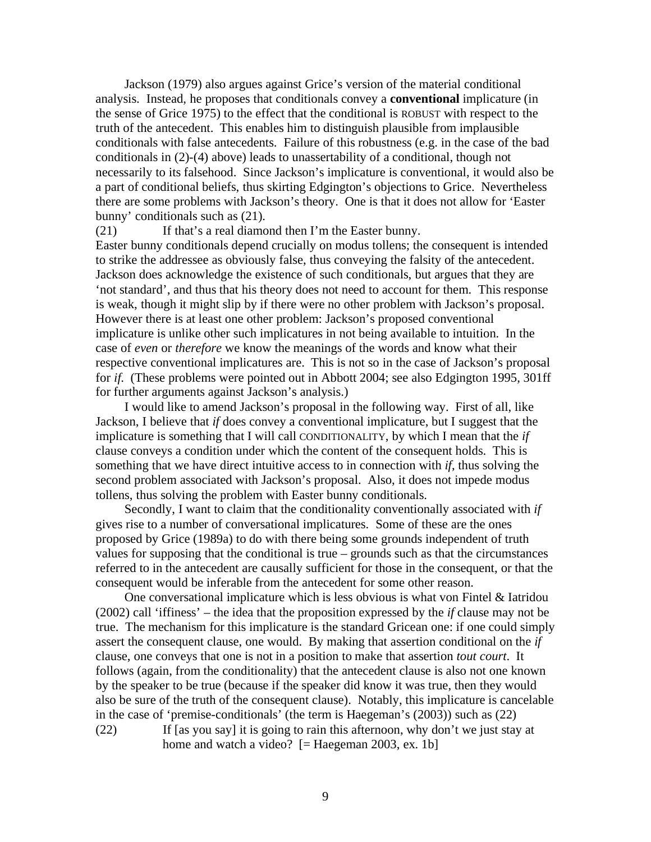Jackson (1979) also argues against Grice's version of the material conditional analysis. Instead, he proposes that conditionals convey a **conventional** implicature (in the sense of Grice 1975) to the effect that the conditional is ROBUST with respect to the truth of the antecedent. This enables him to distinguish plausible from implausible conditionals with false antecedents. Failure of this robustness (e.g. in the case of the bad conditionals in (2)-(4) above) leads to unassertability of a conditional, though not necessarily to its falsehood. Since Jackson's implicature is conventional, it would also be a part of conditional beliefs, thus skirting Edgington's objections to Grice. Nevertheless there are some problems with Jackson's theory. One is that it does not allow for 'Easter bunny' conditionals such as (21).

(21) If that's a real diamond then I'm the Easter bunny.

Easter bunny conditionals depend crucially on modus tollens; the consequent is intended to strike the addressee as obviously false, thus conveying the falsity of the antecedent. Jackson does acknowledge the existence of such conditionals, but argues that they are 'not standard', and thus that his theory does not need to account for them. This response is weak, though it might slip by if there were no other problem with Jackson's proposal. However there is at least one other problem: Jackson's proposed conventional implicature is unlike other such implicatures in not being available to intuition. In the case of *even* or *therefore* we know the meanings of the words and know what their respective conventional implicatures are. This is not so in the case of Jackson's proposal for *if*. (These problems were pointed out in Abbott 2004; see also Edgington 1995, 301ff for further arguments against Jackson's analysis.)

 I would like to amend Jackson's proposal in the following way. First of all, like Jackson, I believe that *if* does convey a conventional implicature, but I suggest that the implicature is something that I will call CONDITIONALITY, by which I mean that the *if* clause conveys a condition under which the content of the consequent holds. This is something that we have direct intuitive access to in connection with *if*, thus solving the second problem associated with Jackson's proposal. Also, it does not impede modus tollens, thus solving the problem with Easter bunny conditionals.

 Secondly, I want to claim that the conditionality conventionally associated with *if* gives rise to a number of conversational implicatures. Some of these are the ones proposed by Grice (1989a) to do with there being some grounds independent of truth values for supposing that the conditional is true – grounds such as that the circumstances referred to in the antecedent are causally sufficient for those in the consequent, or that the consequent would be inferable from the antecedent for some other reason.

One conversational implicature which is less obvious is what von Fintel  $&$  Iatridou (2002) call 'iffiness' – the idea that the proposition expressed by the *if* clause may not be true. The mechanism for this implicature is the standard Gricean one: if one could simply assert the consequent clause, one would. By making that assertion conditional on the *if* clause, one conveys that one is not in a position to make that assertion *tout court*. It follows (again, from the conditionality) that the antecedent clause is also not one known by the speaker to be true (because if the speaker did know it was true, then they would also be sure of the truth of the consequent clause). Notably, this implicature is cancelable in the case of 'premise-conditionals' (the term is Haegeman's (2003)) such as (22) (22) If [as you say] it is going to rain this afternoon, why don't we just stay at

home and watch a video?  $[=$  Haegeman 2003, ex. 1b]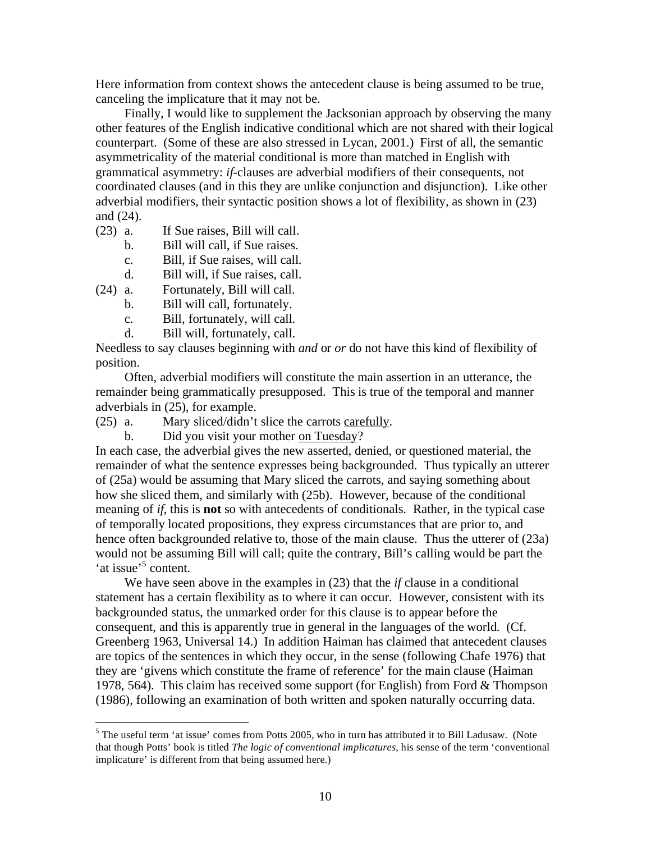Here information from context shows the antecedent clause is being assumed to be true, canceling the implicature that it may not be.

 Finally, I would like to supplement the Jacksonian approach by observing the many other features of the English indicative conditional which are not shared with their logical counterpart. (Some of these are also stressed in Lycan, 2001.) First of all, the semantic asymmetricality of the material conditional is more than matched in English with grammatical asymmetry: *if*-clauses are adverbial modifiers of their consequents, not coordinated clauses (and in this they are unlike conjunction and disjunction). Like other adverbial modifiers, their syntactic position shows a lot of flexibility, as shown in (23) and (24).

- (23) a. If Sue raises, Bill will call.
	- b. Bill will call, if Sue raises.
	- c. Bill, if Sue raises, will call.
	- d. Bill will, if Sue raises, call.
- (24) a. Fortunately, Bill will call.
	- b. Bill will call, fortunately.
	- c. Bill, fortunately, will call.
	- d. Bill will, fortunately, call.

Needless to say clauses beginning with *and* or *or* do not have this kind of flexibility of position.

 Often, adverbial modifiers will constitute the main assertion in an utterance, the remainder being grammatically presupposed. This is true of the temporal and manner adverbials in (25), for example.

(25) a. Mary sliced/didn't slice the carrots carefully.

b. Did you visit your mother on Tuesday?

In each case, the adverbial gives the new asserted, denied, or questioned material, the remainder of what the sentence expresses being backgrounded. Thus typically an utterer of (25a) would be assuming that Mary sliced the carrots, and saying something about how she sliced them, and similarly with (25b). However, because of the conditional meaning of *if*, this is **not** so with antecedents of conditionals. Rather, in the typical case of temporally located propositions, they express circumstances that are prior to, and hence often backgrounded relative to, those of the main clause. Thus the utterer of (23a) would not be assuming Bill will call; quite the contrary, Bill's calling would be part the 'at issue'<sup>5</sup> content.

 We have seen above in the examples in (23) that the *if* clause in a conditional statement has a certain flexibility as to where it can occur. However, consistent with its backgrounded status, the unmarked order for this clause is to appear before the consequent, and this is apparently true in general in the languages of the world. (Cf. Greenberg 1963, Universal 14.) In addition Haiman has claimed that antecedent clauses are topics of the sentences in which they occur, in the sense (following Chafe 1976) that they are 'givens which constitute the frame of reference' for the main clause (Haiman 1978, 564). This claim has received some support (for English) from Ford & Thompson (1986), following an examination of both written and spoken naturally occurring data.

<sup>&</sup>lt;sup>5</sup> The useful term 'at issue' comes from Potts 2005, who in turn has attributed it to Bill Ladusaw. (Note that though Potts' book is titled *The logic of conventional implicatures*, his sense of the term 'conventional implicature' is different from that being assumed here.)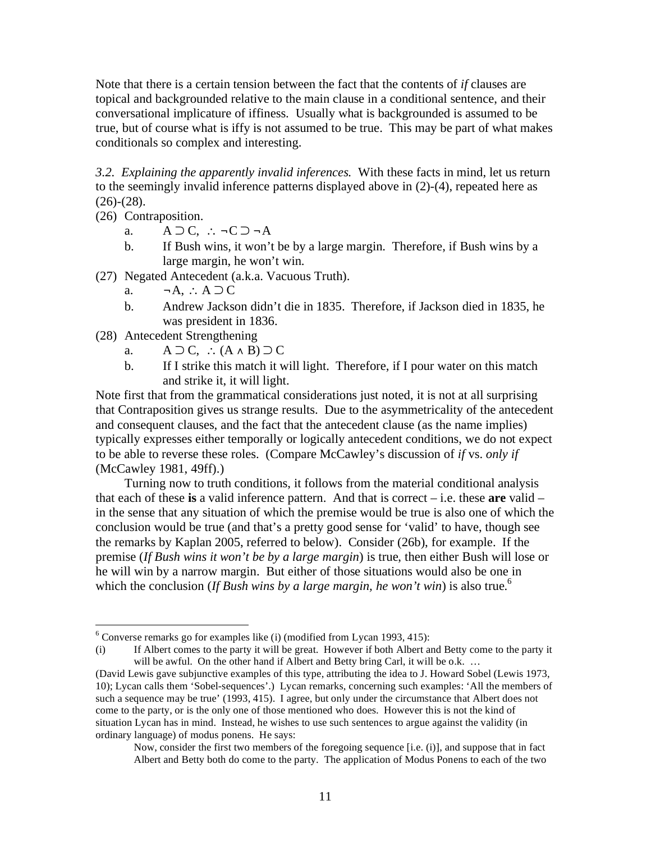Note that there is a certain tension between the fact that the contents of *if* clauses are topical and backgrounded relative to the main clause in a conditional sentence, and their conversational implicature of iffiness. Usually what is backgrounded is assumed to be true, but of course what is iffy is not assumed to be true. This may be part of what makes conditionals so complex and interesting.

*3.2. Explaining the apparently invalid inferences.* With these facts in mind, let us return to the seemingly invalid inference patterns displayed above in (2)-(4), repeated here as  $(26)-(28)$ .

(26) Contraposition.

 $\overline{a}$ 

- a.  $A \supset C$ ,  $\therefore \neg C \supset \neg A$
- b. If Bush wins, it won't be by a large margin. Therefore, if Bush wins by a large margin, he won't win.
- (27) Negated Antecedent (a.k.a. Vacuous Truth).
	- a.  $\neg A, \therefore A \supset C$
	- b. Andrew Jackson didn't die in 1835. Therefore, if Jackson died in 1835, he was president in 1836.
- (28) Antecedent Strengthening
- a.  $A \supset C$ ,  $\therefore (A \wedge B) \supset C$ 
	- b. If I strike this match it will light. Therefore, if I pour water on this match and strike it, it will light.

Note first that from the grammatical considerations just noted, it is not at all surprising that Contraposition gives us strange results. Due to the asymmetricality of the antecedent and consequent clauses, and the fact that the antecedent clause (as the name implies) typically expresses either temporally or logically antecedent conditions, we do not expect to be able to reverse these roles. (Compare McCawley's discussion of *if* vs. *only if* (McCawley 1981, 49ff).)

 Turning now to truth conditions, it follows from the material conditional analysis that each of these **is** a valid inference pattern. And that is correct – i.e. these **are** valid – in the sense that any situation of which the premise would be true is also one of which the conclusion would be true (and that's a pretty good sense for 'valid' to have, though see the remarks by Kaplan 2005, referred to below). Consider (26b), for example. If the premise (*If Bush wins it won't be by a large margin*) is true, then either Bush will lose or he will win by a narrow margin. But either of those situations would also be one in which the conclusion (*If Bush wins by a large margin, he won't win*) is also true.<sup>6</sup>

<sup>&</sup>lt;sup>6</sup> Converse remarks go for examples like (i) (modified from Lycan 1993, 415):

<sup>(</sup>i) If Albert comes to the party it will be great. However if both Albert and Betty come to the party it will be awful. On the other hand if Albert and Betty bring Carl, it will be o.k. ...

<sup>(</sup>David Lewis gave subjunctive examples of this type, attributing the idea to J. Howard Sobel (Lewis 1973, 10); Lycan calls them 'Sobel-sequences'.) Lycan remarks, concerning such examples: 'All the members of such a sequence may be true' (1993, 415). I agree, but only under the circumstance that Albert does not come to the party, or is the only one of those mentioned who does. However this is not the kind of situation Lycan has in mind. Instead, he wishes to use such sentences to argue against the validity (in ordinary language) of modus ponens. He says:

Now, consider the first two members of the foregoing sequence [i.e. (i)], and suppose that in fact Albert and Betty both do come to the party. The application of Modus Ponens to each of the two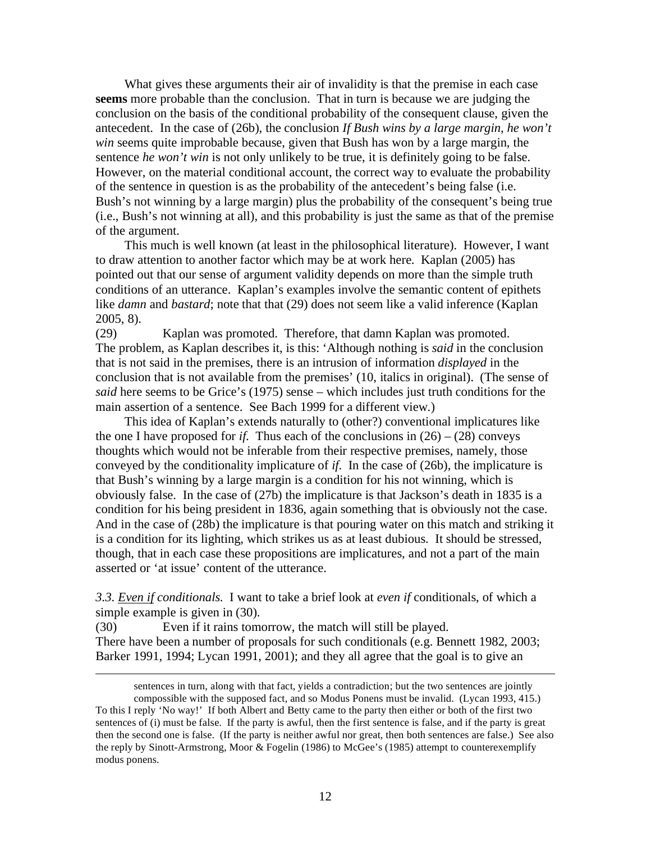What gives these arguments their air of invalidity is that the premise in each case **seems** more probable than the conclusion. That in turn is because we are judging the conclusion on the basis of the conditional probability of the consequent clause, given the antecedent. In the case of (26b), the conclusion *If Bush wins by a large margin, he won't win* seems quite improbable because, given that Bush has won by a large margin, the sentence *he won't win* is not only unlikely to be true, it is definitely going to be false. However, on the material conditional account, the correct way to evaluate the probability of the sentence in question is as the probability of the antecedent's being false (i.e. Bush's not winning by a large margin) plus the probability of the consequent's being true (i.e., Bush's not winning at all), and this probability is just the same as that of the premise of the argument.

 This much is well known (at least in the philosophical literature). However, I want to draw attention to another factor which may be at work here. Kaplan (2005) has pointed out that our sense of argument validity depends on more than the simple truth conditions of an utterance. Kaplan's examples involve the semantic content of epithets like *damn* and *bastard*; note that that (29) does not seem like a valid inference (Kaplan 2005, 8).

(29) Kaplan was promoted. Therefore, that damn Kaplan was promoted. The problem, as Kaplan describes it, is this: 'Although nothing is *said* in the conclusion that is not said in the premises, there is an intrusion of information *displayed* in the conclusion that is not available from the premises' (10, italics in original). (The sense of *said* here seems to be Grice's (1975) sense – which includes just truth conditions for the main assertion of a sentence. See Bach 1999 for a different view.)

 This idea of Kaplan's extends naturally to (other?) conventional implicatures like the one I have proposed for *if*. Thus each of the conclusions in  $(26) - (28)$  conveys thoughts which would not be inferable from their respective premises, namely, those conveyed by the conditionality implicature of *if*. In the case of (26b), the implicature is that Bush's winning by a large margin is a condition for his not winning, which is obviously false. In the case of (27b) the implicature is that Jackson's death in 1835 is a condition for his being president in 1836, again something that is obviously not the case. And in the case of (28b) the implicature is that pouring water on this match and striking it is a condition for its lighting, which strikes us as at least dubious. It should be stressed, though, that in each case these propositions are implicatures, and not a part of the main asserted or 'at issue' content of the utterance.

*3.3. Even if conditionals.* I want to take a brief look at *even if* conditionals, of which a simple example is given in (30).

(30) Even if it rains tomorrow, the match will still be played. There have been a number of proposals for such conditionals (e.g. Bennett 1982, 2003; Barker 1991, 1994; Lycan 1991, 2001); and they all agree that the goal is to give an

-

sentences in turn, along with that fact, yields a contradiction; but the two sentences are jointly compossible with the supposed fact, and so Modus Ponens must be invalid. (Lycan 1993, 415.)

To this I reply 'No way!' If both Albert and Betty came to the party then either or both of the first two sentences of (i) must be false. If the party is awful, then the first sentence is false, and if the party is great then the second one is false. (If the party is neither awful nor great, then both sentences are false.) See also the reply by Sinott-Armstrong, Moor & Fogelin (1986) to McGee's (1985) attempt to counterexemplify modus ponens.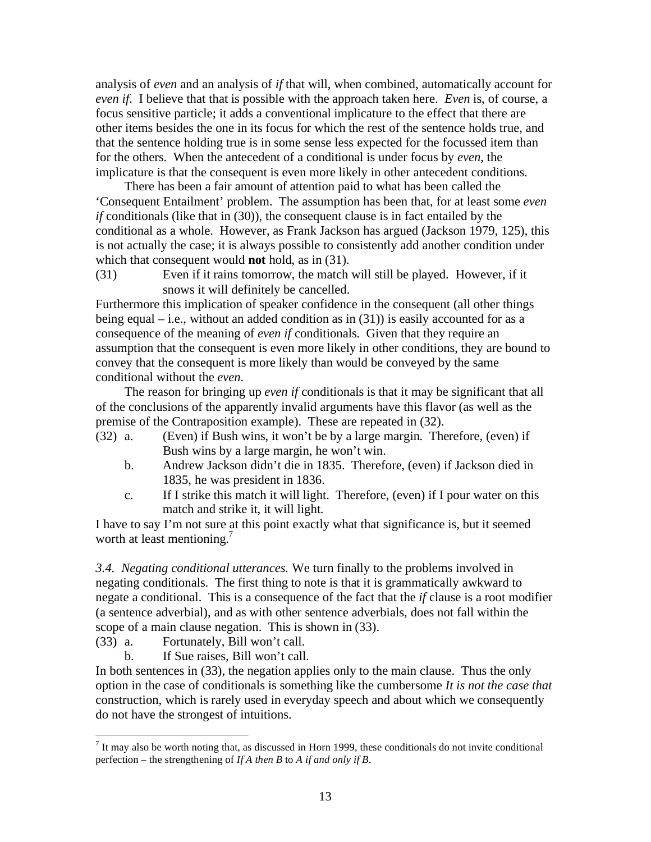analysis of *even* and an analysis of *if* that will, when combined, automatically account for *even if*. I believe that that is possible with the approach taken here. *Even* is, of course, a focus sensitive particle; it adds a conventional implicature to the effect that there are other items besides the one in its focus for which the rest of the sentence holds true, and that the sentence holding true is in some sense less expected for the focussed item than for the others. When the antecedent of a conditional is under focus by *even*, the implicature is that the consequent is even more likely in other antecedent conditions.

 There has been a fair amount of attention paid to what has been called the 'Consequent Entailment' problem. The assumption has been that, for at least some *even if* conditionals (like that in (30)), the consequent clause is in fact entailed by the conditional as a whole. However, as Frank Jackson has argued (Jackson 1979, 125), this is not actually the case; it is always possible to consistently add another condition under which that consequent would **not** hold, as in (31).

(31) Even if it rains tomorrow, the match will still be played. However, if it snows it will definitely be cancelled.

Furthermore this implication of speaker confidence in the consequent (all other things being equal – i.e., without an added condition as in (31)) is easily accounted for as a consequence of the meaning of *even if* conditionals. Given that they require an assumption that the consequent is even more likely in other conditions, they are bound to convey that the consequent is more likely than would be conveyed by the same conditional without the *even*.

 The reason for bringing up *even if* conditionals is that it may be significant that all of the conclusions of the apparently invalid arguments have this flavor (as well as the premise of the Contraposition example). These are repeated in (32).

- (32) a. (Even) if Bush wins, it won't be by a large margin. Therefore, (even) if Bush wins by a large margin, he won't win.
	- b. Andrew Jackson didn't die in 1835. Therefore, (even) if Jackson died in 1835, he was president in 1836.
	- c. If I strike this match it will light. Therefore, (even) if I pour water on this match and strike it, it will light.

I have to say I'm not sure at this point exactly what that significance is, but it seemed worth at least mentioning.<sup>7</sup>

*3.4. Negating conditional utterances.* We turn finally to the problems involved in negating conditionals. The first thing to note is that it is grammatically awkward to negate a conditional. This is a consequence of the fact that the *if* clause is a root modifier (a sentence adverbial), and as with other sentence adverbials, does not fall within the scope of a main clause negation. This is shown in  $(33)$ .

- (33) a. Fortunately, Bill won't call.
	- b. If Sue raises, Bill won't call.

In both sentences in (33), the negation applies only to the main clause. Thus the only option in the case of conditionals is something like the cumbersome *It is not the case that* construction, which is rarely used in everyday speech and about which we consequently do not have the strongest of intuitions.

 $\frac{1}{7}$  It may also be worth noting that, as discussed in Horn 1999, these conditionals do not invite conditional perfection – the strengthening of *If A then B* to *A if and only if B*.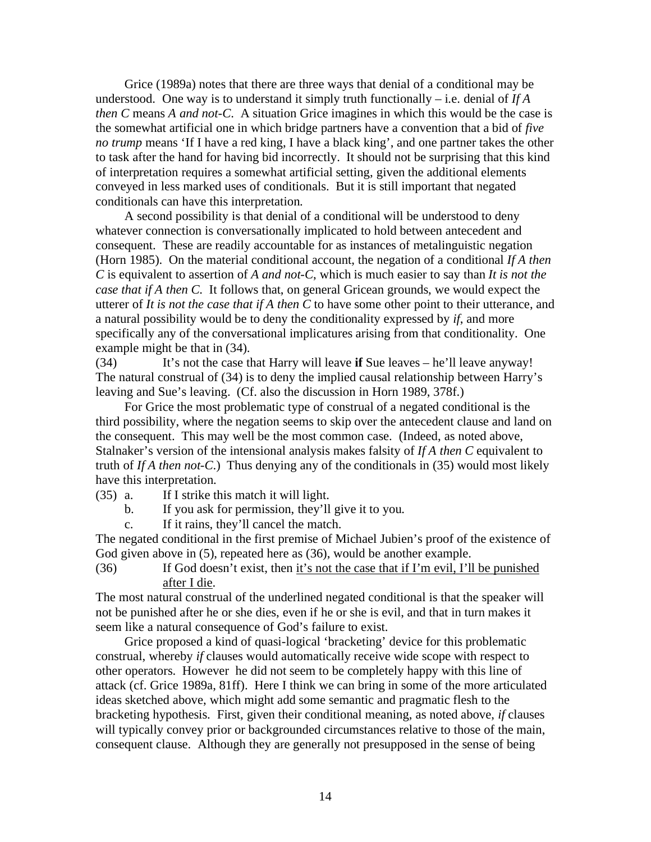Grice (1989a) notes that there are three ways that denial of a conditional may be understood. One way is to understand it simply truth functionally – i.e. denial of *If A then C* means *A and not-C*. A situation Grice imagines in which this would be the case is the somewhat artificial one in which bridge partners have a convention that a bid of *five no trump* means 'If I have a red king, I have a black king', and one partner takes the other to task after the hand for having bid incorrectly. It should not be surprising that this kind of interpretation requires a somewhat artificial setting, given the additional elements conveyed in less marked uses of conditionals. But it is still important that negated conditionals can have this interpretation.

 A second possibility is that denial of a conditional will be understood to deny whatever connection is conversationally implicated to hold between antecedent and consequent. These are readily accountable for as instances of metalinguistic negation (Horn 1985). On the material conditional account, the negation of a conditional *If A then C* is equivalent to assertion of *A and not-C*, which is much easier to say than *It is not the case that if A then C*. It follows that, on general Gricean grounds, we would expect the utterer of *It is not the case that if A then C* to have some other point to their utterance, and a natural possibility would be to deny the conditionality expressed by *if*, and more specifically any of the conversational implicatures arising from that conditionality. One example might be that in (34).

(34) It's not the case that Harry will leave **if** Sue leaves – he'll leave anyway! The natural construal of (34) is to deny the implied causal relationship between Harry's leaving and Sue's leaving. (Cf. also the discussion in Horn 1989, 378f.)

 For Grice the most problematic type of construal of a negated conditional is the third possibility, where the negation seems to skip over the antecedent clause and land on the consequent. This may well be the most common case. (Indeed, as noted above, Stalnaker's version of the intensional analysis makes falsity of *If A then C* equivalent to truth of *If A then not-C*.) Thus denying any of the conditionals in (35) would most likely have this interpretation.

- (35) a. If I strike this match it will light.
	- b. If you ask for permission, they'll give it to you.
	- c. If it rains, they'll cancel the match.

The negated conditional in the first premise of Michael Jubien's proof of the existence of God given above in (5), repeated here as (36), would be another example.

(36) If God doesn't exist, then it's not the case that if I'm evil, I'll be punished after I die.

The most natural construal of the underlined negated conditional is that the speaker will not be punished after he or she dies, even if he or she is evil, and that in turn makes it seem like a natural consequence of God's failure to exist.

Grice proposed a kind of quasi-logical 'bracketing' device for this problematic construal, whereby *if* clauses would automatically receive wide scope with respect to other operators. However he did not seem to be completely happy with this line of attack (cf. Grice 1989a, 81ff). Here I think we can bring in some of the more articulated ideas sketched above, which might add some semantic and pragmatic flesh to the bracketing hypothesis. First, given their conditional meaning, as noted above, *if* clauses will typically convey prior or backgrounded circumstances relative to those of the main, consequent clause. Although they are generally not presupposed in the sense of being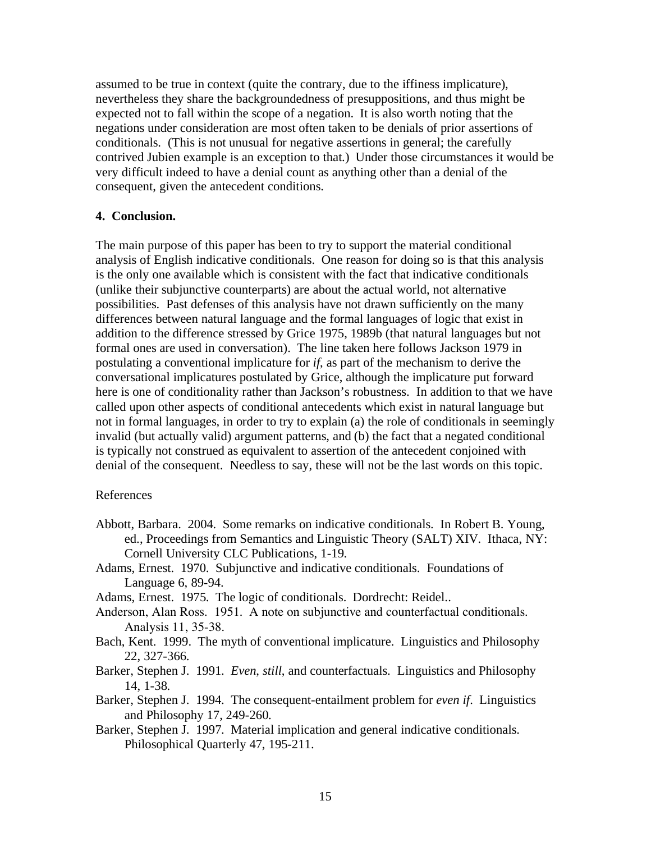assumed to be true in context (quite the contrary, due to the iffiness implicature), nevertheless they share the backgroundedness of presuppositions, and thus might be expected not to fall within the scope of a negation. It is also worth noting that the negations under consideration are most often taken to be denials of prior assertions of conditionals. (This is not unusual for negative assertions in general; the carefully contrived Jubien example is an exception to that.) Under those circumstances it would be very difficult indeed to have a denial count as anything other than a denial of the consequent, given the antecedent conditions.

#### **4. Conclusion.**

The main purpose of this paper has been to try to support the material conditional analysis of English indicative conditionals. One reason for doing so is that this analysis is the only one available which is consistent with the fact that indicative conditionals (unlike their subjunctive counterparts) are about the actual world, not alternative possibilities. Past defenses of this analysis have not drawn sufficiently on the many differences between natural language and the formal languages of logic that exist in addition to the difference stressed by Grice 1975, 1989b (that natural languages but not formal ones are used in conversation). The line taken here follows Jackson 1979 in postulating a conventional implicature for *if*, as part of the mechanism to derive the conversational implicatures postulated by Grice, although the implicature put forward here is one of conditionality rather than Jackson's robustness. In addition to that we have called upon other aspects of conditional antecedents which exist in natural language but not in formal languages, in order to try to explain (a) the role of conditionals in seemingly invalid (but actually valid) argument patterns, and (b) the fact that a negated conditional is typically not construed as equivalent to assertion of the antecedent conjoined with denial of the consequent. Needless to say, these will not be the last words on this topic.

#### References

- Abbott, Barbara. 2004. Some remarks on indicative conditionals. In Robert B. Young, ed., Proceedings from Semantics and Linguistic Theory (SALT) XIV. Ithaca, NY: Cornell University CLC Publications, 1-19.
- Adams, Ernest. 1970. Subjunctive and indicative conditionals. Foundations of Language 6, 89-94.
- Adams, Ernest. 1975. The logic of conditionals. Dordrecht: Reidel..
- Anderson, Alan Ross. 1951. A note on subjunctive and counterfactual conditionals. Analysis 11, 35-38.
- Bach, Kent. 1999. The myth of conventional implicature. Linguistics and Philosophy 22, 327-366.
- Barker, Stephen J. 1991. *Even*, *still*, and counterfactuals. Linguistics and Philosophy 14, 1-38.
- Barker, Stephen J. 1994. The consequent-entailment problem for *even if*. Linguistics and Philosophy 17, 249-260.
- Barker, Stephen J. 1997. Material implication and general indicative conditionals. Philosophical Quarterly 47, 195-211.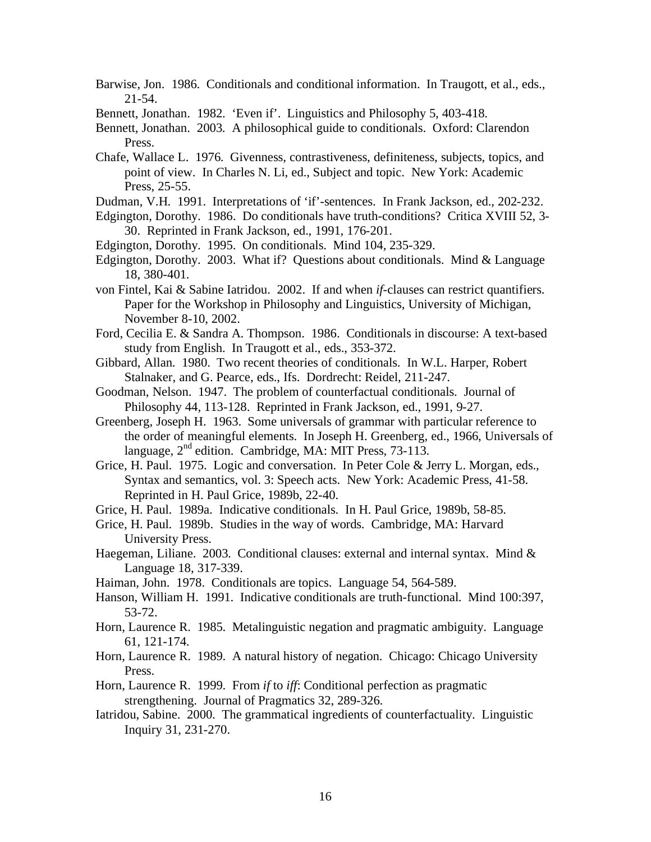- Barwise, Jon. 1986. Conditionals and conditional information. In Traugott, et al., eds., 21-54.
- Bennett, Jonathan. 1982. 'Even if'. Linguistics and Philosophy 5, 403-418.
- Bennett, Jonathan. 2003. A philosophical guide to conditionals. Oxford: Clarendon Press.
- Chafe, Wallace L. 1976. Givenness, contrastiveness, definiteness, subjects, topics, and point of view. In Charles N. Li, ed., Subject and topic. New York: Academic Press, 25-55.
- Dudman, V.H. 1991. Interpretations of 'if'-sentences. In Frank Jackson, ed., 202-232.
- Edgington, Dorothy. 1986. Do conditionals have truth-conditions? Critica XVIII 52, 3- 30. Reprinted in Frank Jackson, ed., 1991, 176-201.
- Edgington, Dorothy. 1995. On conditionals. Mind 104, 235-329.
- Edgington, Dorothy. 2003. What if? Questions about conditionals. Mind & Language 18, 380-401.
- von Fintel, Kai & Sabine Iatridou. 2002. If and when *if*-clauses can restrict quantifiers. Paper for the Workshop in Philosophy and Linguistics, University of Michigan, November 8-10, 2002.
- Ford, Cecilia E. & Sandra A. Thompson. 1986. Conditionals in discourse: A text-based study from English. In Traugott et al., eds., 353-372.
- Gibbard, Allan. 1980. Two recent theories of conditionals. In W.L. Harper, Robert Stalnaker, and G. Pearce, eds., Ifs. Dordrecht: Reidel, 211-247.
- Goodman, Nelson. 1947. The problem of counterfactual conditionals. Journal of Philosophy 44, 113-128. Reprinted in Frank Jackson, ed., 1991, 9-27.
- Greenberg, Joseph H. 1963. Some universals of grammar with particular reference to the order of meaningful elements. In Joseph H. Greenberg, ed., 1966, Universals of language,  $2<sup>nd</sup>$  edition. Cambridge, MA: MIT Press, 73-113.
- Grice, H. Paul. 1975. Logic and conversation. In Peter Cole & Jerry L. Morgan, eds., Syntax and semantics, vol. 3: Speech acts. New York: Academic Press, 41-58. Reprinted in H. Paul Grice, 1989b, 22-40.
- Grice, H. Paul. 1989a. Indicative conditionals. In H. Paul Grice, 1989b, 58-85.
- Grice, H. Paul. 1989b. Studies in the way of words. Cambridge, MA: Harvard University Press.
- Haegeman, Liliane. 2003. Conditional clauses: external and internal syntax. Mind & Language 18, 317-339.
- Haiman, John. 1978. Conditionals are topics. Language 54, 564-589.
- Hanson, William H. 1991. Indicative conditionals are truth-functional. Mind 100:397, 53-72.
- Horn, Laurence R. 1985. Metalinguistic negation and pragmatic ambiguity. Language 61, 121-174.
- Horn, Laurence R. 1989. A natural history of negation. Chicago: Chicago University Press.
- Horn, Laurence R. 1999. From *if* to *iff*: Conditional perfection as pragmatic strengthening. Journal of Pragmatics 32, 289-326.
- Iatridou, Sabine. 2000. The grammatical ingredients of counterfactuality. Linguistic Inquiry 31, 231-270.